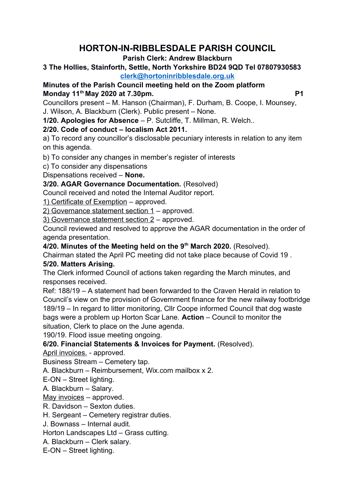# **HORTON-IN-RIBBLESDALE PARISH COUNCIL**

#### **Parish Clerk: Andrew Blackburn**

#### **3 The Hollies, Stainforth, Settle, North Yorkshire BD24 9QD Tel 07807930583 [clerk@hortoninribblesdale.org.uk](mailto:clerk@hortoninribblesdale.org.uk)**

**Minutes of the Parish Council meeting held on the Zoom platform Monday 11th May 2020 at 7.30pm. P1** 

Councillors present – M. Hanson (Chairman), F. Durham, B. Coope, I. Mounsey, J. Wilson, A. Blackburn (Clerk). Public present – None.

**1/20. Apologies for Absence** – P. Sutcliffe, T. Millman, R. Welch..

# **2/20. Code of conduct – localism Act 2011.**

a) To record any councillor's disclosable pecuniary interests in relation to any item on this agenda.

b) To consider any changes in member's register of interests

c) To consider any dispensations

Dispensations received – **None.** 

## **3/20. AGAR Governance Documentation.** (Resolved)

Council received and noted the Internal Auditor report.

1) Certificate of Exemption – approved.

2) Governance statement section 1 – approved.

3) Governance statement section 2 – approved.

Council reviewed and resolved to approve the AGAR documentation in the order of agenda presentation.

**4/20. Minutes of the Meeting held on the 9th March 2020.** (Resolved).

Chairman stated the April PC meeting did not take place because of Covid 19 . **5/20. Matters Arising.**

The Clerk informed Council of actions taken regarding the March minutes, and responses received.

Ref: 188/19 – A statement had been forwarded to the Craven Herald in relation to Council's view on the provision of Government finance for the new railway footbridge 189/19 – In regard to litter monitoring, Cllr Coope informed Council that dog waste bags were a problem up Horton Scar Lane. **Action** – Council to monitor the situation, Clerk to place on the June agenda.

190/19. Flood issue meeting ongoing.

## **6/20. Financial Statements & Invoices for Payment.** (Resolved).

April invoices. - approved.

Business Stream – Cemetery tap.

A. Blackburn – Reimbursement, Wix.com mailbox x 2.

E-ON – Street lighting.

A. Blackburn – Salary.

May invoices – approved.

R. Davidson – Sexton duties.

H. Sergeant – Cemetery registrar duties.

J. Bownass – Internal audit.

Horton Landscapes Ltd – Grass cutting.

A. Blackburn – Clerk salary.

E-ON – Street lighting.